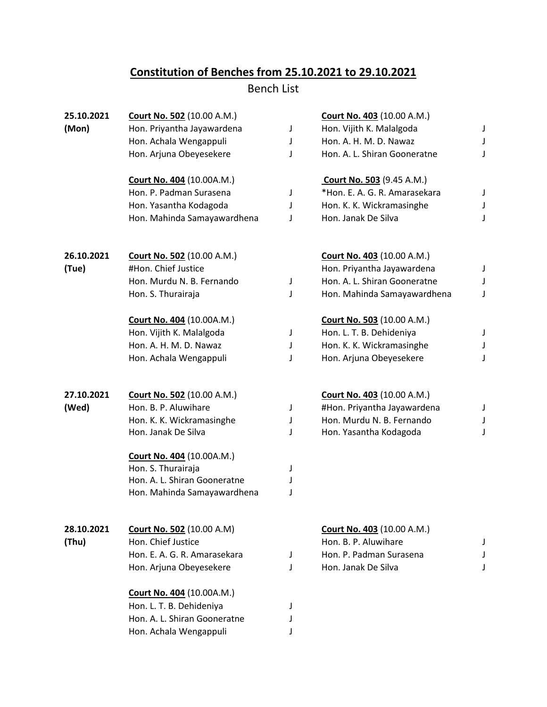## **Constitution of Benches from 25.10.2021 to 29.10.2021**

Bench List

| 25.10.2021 | <b>Court No. 502 (10.00 A.M.)</b> |   | <b>Court No. 403 (10.00 A.M.)</b> |   |
|------------|-----------------------------------|---|-----------------------------------|---|
| (Mon)      | Hon. Priyantha Jayawardena        | J | Hon. Vijith K. Malalgoda          | J |
|            | Hon. Achala Wengappuli            | J | Hon. A. H. M. D. Nawaz            | J |
|            | Hon. Arjuna Obeyesekere           | J | Hon. A. L. Shiran Gooneratne      | J |
|            | <b>Court No. 404 (10.00A.M.)</b>  |   | <b>Court No. 503</b> (9.45 A.M.)  |   |
|            | Hon. P. Padman Surasena           | J | *Hon. E. A. G. R. Amarasekara     | J |
|            | Hon. Yasantha Kodagoda            | J | Hon. K. K. Wickramasinghe         | J |
|            | Hon. Mahinda Samayawardhena       | J | Hon. Janak De Silva               | J |
| 26.10.2021 | <b>Court No. 502</b> (10.00 A.M.) |   | <b>Court No. 403 (10.00 A.M.)</b> |   |
| (Tue)      | #Hon. Chief Justice               |   | Hon. Priyantha Jayawardena        | J |
|            | Hon. Murdu N. B. Fernando         | J | Hon. A. L. Shiran Gooneratne      |   |
|            | Hon. S. Thurairaja                | J | Hon. Mahinda Samayawardhena       | J |
|            | <b>Court No. 404 (10.00A.M.)</b>  |   | <b>Court No. 503 (10.00 A.M.)</b> |   |
|            | Hon. Vijith K. Malalgoda          | J | Hon. L. T. B. Dehideniya          | J |
|            | Hon. A. H. M. D. Nawaz            | J | Hon. K. K. Wickramasinghe         | J |
|            | Hon. Achala Wengappuli            | J | Hon. Arjuna Obeyesekere           | J |
| 27.10.2021 | Court No. 502 (10.00 A.M.)        |   | <b>Court No. 403 (10.00 A.M.)</b> |   |
| (Wed)      | Hon. B. P. Aluwihare              | J | #Hon. Priyantha Jayawardena       | J |
|            | Hon. K. K. Wickramasinghe         | J | Hon. Murdu N. B. Fernando         | J |
|            | Hon. Janak De Silva               | J | Hon. Yasantha Kodagoda            | J |
|            | <b>Court No. 404 (10.00A.M.)</b>  |   |                                   |   |
|            | Hon. S. Thurairaja                | J |                                   |   |
|            | Hon. A. L. Shiran Gooneratne      | J |                                   |   |
|            | Hon. Mahinda Samayawardhena       | J |                                   |   |
| 28.10.2021 | <b>Court No. 502 (10.00 A.M)</b>  |   | <b>Court No. 403 (10.00 A.M.)</b> |   |
| (Thu)      | Hon. Chief Justice                |   | Hon. B. P. Aluwihare              |   |
|            | Hon. E. A. G. R. Amarasekara      | J | Hon. P. Padman Surasena           |   |
|            | Hon. Arjuna Obeyesekere           | J | Hon. Janak De Silva               |   |
|            | <b>Court No. 404 (10.00A.M.)</b>  |   |                                   |   |
|            | Hon. L. T. B. Dehideniya          | J |                                   |   |
|            | Hon. A. L. Shiran Gooneratne      | J |                                   |   |
|            | Hon. Achala Wengappuli            | J |                                   |   |